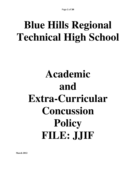# **Blue Hills Regional Technical High School**

# **Academic and Extra-Curricular Concussion Policy FILE: JJIF**

**March 2012**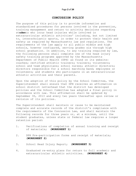#### **CONCUSSION POLICY**

The purpose of this policy is to provide information and standardized procedures for persons involved in the prevention, training management and return to activity decisions regarding st**uden**ts who incur head injuries while involved in extracurricular athletic activities' including, but not limited to, interscholastic sports, in order to protect their health and safety as required by Massachusetts law and regulations. The requirements of the law apply to all public middle and high schools, however configured, serving grades six through high school graduation. In addition, to any training required by law, the following persons shall complete one of the head injury safety training programs approved by the Massachusetts Department of Public Health (DPH) as found on its website: coaches; certified athletic trainers; trainers; volunteers; school and team physicians; school nurses; athletic directors; directors responsible for a school marching band; employees or volunteers; and students who participate in an extracurricular athletic activities and their parents.

Upon the adoption of this policy by the School Committee, the Superintendent shall ensure that DPH receives an affirmation on school district letterhead that the district has developed policies and the School Committee has adopted a final policy in accordance with law. This affirmation shall be updated by September 30, 2013 and every two years thereafter upon review or revision of its policies.

The Superintendent shall maintain or cause to be maintained complete and accurate records of the district's compliance with the requirements of the Concussion Law, and shall maintain the following records for three years or, at a minimum, until the student graduates, unless state or federal law requires a longer retention period:

- 1. Verifications of completion of annual training and receipt of materials; **(WORKSHEET 1)**
- 2. DPH Pre-participation forms and receipt of materials; **(WORKSHEET 2)**
- 3. School Head Injury Report; **(WORKSHEET 3)**
- 4. Graduated re-entry plans for return to full academic and extracurricular athletic activities. **(WORKSHEET 4)**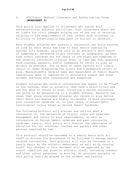#### 5. DPH/School Medical Clearance and Authorization Forms **(WORKSHEET 5)**

This policy also applies to volunteers who assist with extracurricular athletic activities. Such volunteers shall not be liable for civil damages arising out of any act or omission relating to the requirements of law, unless such volunteer is willfully or intentionally negligent in his act or omission.

Most student athletes who sustain a concussion can fully recover as long as their brain has time to heal before sustaining another hit; however, relying only on an athlete's self-report of symptoms to determine injury recovery is inadequate, as many high school athletes are not aware of the signs and symptoms or the severity concussive injuries pose, or they may feel pressure from coaches, parents, and/or teammates to return to play as quickly as possible. One or more of these factors will likely result in under-diagnosing the injury and a premature return to play. Massachusetts General Laws and Department of Public Health regulations make it imperative to accurately assess and treat student athletes when concussions arc suspected.

Student athletes who receive concussions may appear to be "fine" on the outside, when in actuality they have a brain injury and are not able to return to play. Incurring a second concussion can prove to be devastating to a student athlete. Research has shown that young concussed athletes who return to play before their brain has healed are highly vulnerable to more prolonged post-concussion syndrome or, in rare cases, a catastrophic neurological injury known as Second Impact Syndrome.

The following protocol will discuss and outline what a concussion is, the mechanism of injury, signs and symptoms, management and return to play requirements, as well as information on Second Impact syndrome and past concussion syndrome. Lastly, this policy will discuss the importance of education for our athletes, coaches and parents and other persons required by law.

This protocol should be reviewed on a yearly basis with all staff to discuss the procedures to be followed to manage sportsrelated concussions. This protocol will also be reviewed on a yearly basis by the athletic department as well as by nursing staff. Any changes in this document will be approved by the school committee and given to athletic staff, including coaches and other school personnel in writing. An accurate synopsis of this policy shall be placed in the student and faculty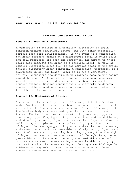handbooks.

**LEGAL REFS: M.G.L. 111:222; 105 CMR 201.000** 

#### **ATHLETIC CONCUSSION REGULATIONS**

#### **Section l. What is a Concussion?**

A concussion is defined as a transient alteration in brain function without structural damage, but with other potentially serious long-term ramifications. In the event of a concussion, the brain sustains damage at a microscopic level in which cells and cell membranes are torn and stretched. The damage to these cells also disrupts the brain at a chemical level, as well as causing restricted blood flow to the damaged areas of the brain, thereby disrupting brain function. A concussion, therefore, is a disruption in how the brain works; it is not a structural injury. Concussions are difficult to diagnose because the damage cannot be seen. A MRI or CT Scan cannot diagnose a concussion, but they can help rule out a more serious brain injury to a student athlete. Because concussions are difficult to detect, student athletes must obtain medical approval before returning to athletics following a concussion.

#### **Section II, Mechanism of Injury:**

A concussion is caused by a bump, blow or jolt to the head or body. Any force that causes the brain to bounce around or twist within the skull can cause a concussion. A bump, blow or jolt to the head or body can be caused by either indirect or direct trauma. The two direct mechanisms of injury are coup-type and contrecoup-type. Coup-type injury is when the head is stationary and struck by a moving object such as another player's helmet, a ball, or sport implement, causing brain injury at the location of impact. Contrecoup-type injury occurs when the head is moving and makes contact with an immovable or slowly moving object as a result of deceleration, causing brain injury away from the sight of impact. Indirect forces are transmitted through the spine and jaw or blows to the thorax that whip the head while the neck muscles are relaxed. Understanding the way in which an injury occurred is vital in understanding and having a watchful eye for athletes who may exhibit symptoms of a concussion so these student athletes can receive the appropriate care.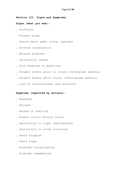**Section III. Signs and Symptoms:** 

#### **Signs (what you see):**

- . Confusion
- . Forgets plays
- . Unsure about game, score, opponent
- . Altered coordination
- . Balance problems
- . Personality change
- . Slow response to questions
- . Forgets events prior to injury (retrograde amnesia)
- . Forgets events after injury (anterograde amnesia)
- . Loss of consciousness (any duration)

#### **Symptoms (reported by athlete):**

- . Headache
- . Fatigue
- . Nausea or vomiting
- . Double vision! Blurry vision
- . Sensitivity to light (photophobia)
- . Sensitivity to noise (tinnitus)
- . Feels sluggish
- . Feels foggy
- . Problems concentrating
- . Problems remembering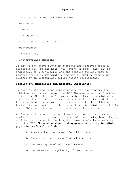- . Trouble with sleeping! Excess sleep
- . Dizziness
- . Sadness
- . Seeing stars
- . Vacant stare! Glassy eyed
- . Nervousness
- . Irritability
- . Inappropriate emotions

If any of the above signs or symptoms are observed after a suspected blow to the head, jaw, spine or body, they may be indicative of a concussion and the student athlete must be removed from play immediately and not allowed to return until cleared by an appropriate allied health professional.

#### **Section IV, Management and Referral Guidelines:**

1. When an athlete loses consciousness for any reason, the athletic trainer will start the EAP (Emergency Action Plan) by activating EMS; check ABC's (airway, breathing, circulation); stabilize the cervical spine; and transport the injured athlete to the appropriate hospital via ambulance. If the athletic trainer is not available, the coach should immediately call EMS, check ABCs and not move the athlete until help arrives.

2. Any athlete who is removed from the competition or event and begins to develop signs and symptoms of a worsening brain injury will be transported to the hospital immediately in accordance with the EAP. **Worsening signs and symptoms requiring immediate physician referral include:**

- A. Amnesia lasting longer than 15 minutes
- B. Deterioration in neurological function
- C. Decreasing level of consciousness
- D. Decrease or irregularity of respiration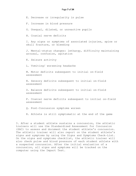E. Decrease or irregularity in pulse

F. Increase in blood pressure

G. Unequal, dilated, or unreactive pupils

H. Cranial nerve deficits

 I. Any signs or symptoms of associated injuries, spine or skull fracture, or bleeding

 J. Mental-status changes: lethargy, difficulty maintaining arousal, confusion, agitation

K. Seizure activity

L. Vomiting/ worsening headache

 M. Motor deficits subsequent to initial on-field assessment

 N. Sensory deficits subsequent to initial on-field assessment

 O. Balance deficits subsequent to initial on-field assessment

 P. Cranial nerve deficits subsequent to initial on-field assessment

Q. Post-Concussion symptoms worsen

R. Athlete is still symptomatic at the end of the game

3. After a student athlete sustains a concussion, the athletic trainers will use the Standardized Assessment for Concussion (SAC) to assess and document the student athlete's concussion. The athletic trainer will also report on the student athlete's signs and symptoms by using the Signs and Symptoms Check-List. On the signs and symptoms checklist, the athletic trainer will also check pulse and blood pressure of each student athlete with a suspected concussion. After the initial evaluation of a concussion, all signs and symptoms will be tracked on the computer using the Impact Test.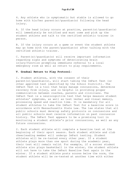A. If the head injury occurs at practice, parent(s)/guardian(s) will immediately be notified and must come and pick up the student athlete and talk to the certified athletic trainer in person.

B. If the injury occurs at a game or event the student athlete may go home with the parent/guardian(s) after talking with the certified athletic trainer.

C. Parent(s)/guardian(s) will receive important information regarding signs and symptoms of deteriorating brain injury/function prompting immediate referral to a local emergency room as well as return to play requirements.

#### **V. Gradual Return to Play Protocol:**

I. Student athletes, with the consent of their parent(s)/guardian(s), will start taking the ImPact Test (or other approved test identified by the School District). The ImPact Test is a tool that helps manage concussions, determine recovery from injury, and is helpful in providing proper communication between coaches, parents and clinicians. The ImPact Test is a neurocognitive test that helps measure student athletes' symptoms, as well as test verbal and visual memory, processing speed and reaction time. It is mandatory for all student athletes to take the ImPact Test for a baseline score in accordance with Massachusetts State Law. The law states that all public schools must develop safety protocols on concussions and all public schools must receive information on past concussion history. The ImPact Test appears to be a promising tool in monitoring a student athlete's prior concussions, as well as any future concussions.

2. Each student athlete will complete a baseline test at the beginning of their sport season. Each student athlete and club cheerleading member will undergo ImPact testing. Student athletes will be re-tested every other year. If a student athlete plays more than one sport during the academic year, their test will remain valid. For example, if a soccer student athlete also plays basketball in the winter, the student athlete will not have to take the ImPact Baseline Test again in the winter. If a student athlete posts scores below the norm, the student athlete will be re-tested at another time with either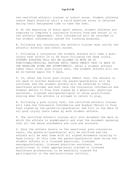the certified athletic trainer or school nurse. Student athletes cannot begin practice until a valid baseline score is obtained during their designated time to take the test.

A. At the beginning of every sport season, student athletes are required to complete a concussion history form and return it to the athletic department. This information will be recorded in the student information system for tracking purposes.

B. Following any concussion the athletic trainer must notify the athletic director and school nurses.

C. Following a concussion the student athlete will take a postinjury test within 24 to 48 hours following the head injury. STUDENT ATHLETES WILL NOT BE ALLOWED TO MOVE ON TO FUNCTIONAL/PHYSICAL TESTING UNTIL THEIR IMPACT TEST IS BACK TO THE BASELINE SCORE AND ASYMPTOMATIC. After a student athlete takes their first post-injury test, the student athlete will not be re-tested again for 5 days,

D. If, after the first post-injury ImPact test, the athlete is not back to his/her baseline the parent/guardian(s) will be notified, and the student athlete will be referred to their healthcare provider and must have the Concussion information and Gradual Return to Play form signed by a physician, physician assistant, licensed neuropsychologist or nurse practitioner stating when the athlete is allowed to return to play.

E. Following a post-injury test, the certified athletic trainer will take the Concussion Information and Gradual Return to Play form signed by the parent(s)/guardian(s) and fill in the date of all post-injury tests taken by each student athlete.

F. The certified athletic trainer will also document the date on which the athlete is asymptomatic and sign the document agreeing that all the above statements are true and accurate.

G. Once the athlete starts on the exertional post-concussion tests, the parent(s)/guardian(s) will be notified and the athlete will be sent home with all signed documents relating to head injury. At this time the parent/guardian(s) must bring the student athlete to a licensed physician, licensed neuropsychologist, licensed physician assistant, nurse practitioner or other appropriately trained or licensed healthcare professional to be medically cleared for participation in the extracurricular activity.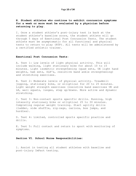#### **H. Student athletes who continue to exhibit concussion symptoms for a week or more must be evaluated by a physician before returning to play.**

I. Once a student athlete's post-injury test is back at the student athlete's baseline score, the student athlete will go through 5 days of Exertional Post Concussion Tests. The student athlete must be asymptomatic for all functional and physical tests to return to play (RTP). All tests will be administered by a certified athletic trainer.

#### **Exertional Post Concussion Tests:**

A. Test 1: Low levels of light physical activity. This will include walking, light stationary bike for about 10 to 15 minutes. Light isometric strengthening (quad sets, UE light hand weights, ham sets, SLR's, resistive band ankle strengthening) and stretching exercises.

B. Test 2: Moderate levels of physical activity. Treadmill jogging, stationary bike, or elliptical for 20 to 25 minutes. Light weight strength exercises (resistive band exercises UE and LE, wall squats, lunges, step up/downs. More active and dynamic stretching.

C. Test 3: Non-contact sports specific drills. Running, high intensity stationary bike or elliptical 25 to 30 minutes. Completing regular weight training. Start agility drills (ladder, side shuffle, zig-zags, carioca, box jumps, and hurdles).

D. Test 4: Limited, controlled sports specific practice and drills.

E. Test 5: Full contact and return to sport with monitoring of symptoms.

#### **Section VI. School Nurse Responsibilities:**

1. Assist in testing all student athletes with baseline and post-injury ImPact testing.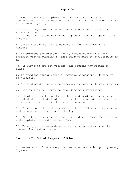2. Participate and complete the CDC training course on concussions. A certificate of completion will be recorded by the nurse leader yearly.

3. Complete symptom assessment when student athlete enters Health Office with questionable concussion during school hours. Repeat in 15 minutes.

4. Observe students with a concussion for a minimum of 30 minutes.

5. If symptoms are present, notify parent/guardian(s) and instruct parent/guardian(s) that student must be evaluated by an MD.

(a) If symptoms are not present, the student may return to class.

6. If symptoms appear after a negative assessment, MD referral is necessary.

7. Allow students who are in recovery to rest in HO when needed.

8. Develop plan for students regarding pain management.

9. School nurse will notify teachers and guidance counselors of any students or student athletes who have academic restrictions or modifications related to their concussion.

10. Educate parents and teachers about the effects of concussion and returning to school and activity.

11. If injury occurs during the school day, inform administrator and complete accident/incident form.

12. Enter physical exam dates and concussion dates into the student information system.

#### **Section VII. School Responsibilities:**

1. Review and, if necessary, revise, the concussion policy every 2 years.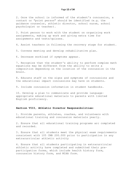2. Once the school is informed of the student's concussion, a contact or "point person" should be identified (e.g. the guidance counselor, athletic director, school nurse, school psychologist or teacher).

3. Point person to work with the student on organizing work assignments, making up work and giving extra time for assignments and tests/quizzes.

4. Assist teachers in following the recovery stage for student.

5. Convene meeting and develop rehabilitative plan.

6. Decrease workload if symptoms appear.

7. Recognize that the student's ability to perform complex math equations may be different from the ability to write a composition depending on the location of the concussion in the brain.

8. Educate staff on the signs and symptoms of concussions and the educational impact concussions may have on students.

9. Include concussion information in student handbooks.

10. Develop a plan to communicate and provide languageappropriate educational materials to parents with limited English proficiency.

#### **Section VIII, Athletic Director Responsibilities:**

1. Provide parents, athletes, coaches, and volunteers with educational training and concussion materials yearly.

2. Ensure that all educational training programs arc completed and recorded.

3. Ensure that all students meet the physical exam requirements consistent with 105 CMR 200.000 prior to participation in any extracurricular athletic activity

4. Ensure that all students participating in extracurricular athletic activity have completed and submitted their preparticipation forms, which include health history form, concussion history form, and MIAA form.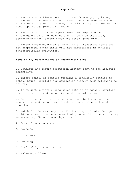S. Ensure that athletes are prohibited from engaging in any unreasonably dangerous athletic technique that endangers the health or safety of an athlete, including using a helmet or any other sports equipment as a weapon.

6. Ensure that all head injury forms are completed by parent/guardian(s) or coaches and reviewed by the coach, athletic trainer, school nurse and school physician.

7. Inform parent/guardian(s) that, if all necessary forms are not completed, their child will not participate in athletic extracurricular activities.

#### **Section IX, Parent/Guardian Responsibilities:**

1. Complete and return concussion history form to the athletic department.

2. Inform school if student sustains a concussion outside of school hours. Complete new concussion history form following new injury.

3. 1f student suffers a concussion outside of school, complete head injury form and return it to the school nurse.

4. Complete a training program recognized by the school on concussions and return certificate of completion to the athletic department.

5. Watch for changes in your child that may indicate that your child does have a concussion or that your child's concussion may be worsening. Report to a physician:

A. Loss of consciousness

- B. Headache
- C. Dizziness
- D. Lethargy
- E. Difficultly concentrating
- F. Balance problems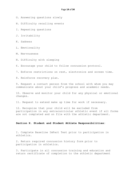- G. Answering questions slowly
- H. Difficulty recalling events
- I. Repeating questions
- J. Irritability
- K. Sadness
- L. Emotionality
- M. Nervousness
- N. Difficulty with sleeping
- 6. Encourage your child to follow concussion protocol.
- 7. Enforce restrictions on rest, electronics and screen time.
- 8. Reinforce recovery plan.

9. Request a contact person from the school with whom you may communicate about your child's progress and academic needs.

10. Observe and monitor your child for any physical or emotional changes.

11. Request to extend make up time for work if necessary.

12. Recognize that your child will be excluded from participation in any extracurricular athletic event if all forms are not completed and on file with the athletic department.

#### **Section X. Student and Student Athlete Responsibilities:**

I. Complete Baseline ImPact Test prior to participation in athletics.

2. Return required concussion history form prior to participation in athletics.

3. Participate in all concussion training and education and return certificate of completion to the athletic department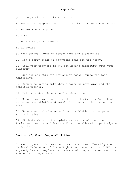prior to participation in athletics.

4. Report all symptoms to athletic trainer and or school nurse.

5. Follow recovery plan.

6. REST.

7. NO ATHLETICS IF INJURED

8. BE HONEST!

9. Keep strict limits on screen time and electronics.

10. Don't carry books or backpacks that are too heavy.

11. Tell your teachers if you are having difficulty with your classwork.

12. See the athletic trainer and/or school nurse for pain management.

13. Return to sports only when cleared by physician and the athletic trainer.

14. Follow Gradual Return to Play Guidelines.

15. Report any symptoms to the athletic trainer and/or school nurse and parent(s)/guardian(s) if any occur after return to play.

16. Return medical clearance form to athletic trainer prior to return to play.

17. Students who do not complete and return all required trainings, testing and forms will not be allowed to participate in sports.

#### **Section XI, Coach Responsibilities:**

1. Participate in Concussion Education Course offered by the National Federation of State High School Associations (NFHS) on a yearly basis. Complete certificate of completion and return to the athletic department.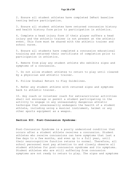2. Ensure all student athletes have completed ImPact baseline testing before participation.

3. Ensure all student athletes have returned concussion history and health history form prior to participation in athletics.

4. Complete a head injury form if their player suffers a head injury and the athletic trainer is not present at the athletic event. This form must be shared with the athletic trainer and school nurse.

5. Ensure all students have completed a concussion educational training and returned their certificate of completion prior to participation in athletics.

6. Remove from play any student athlete who exhibits signs and symptoms of a concussion.

7. Do not allow student athletes to return to play until cleared by a physician and athletic trainer.

8. Follow Gradual Return to Play Guidelines.

9. Refer any student athlete with returned signs and symptoms back to athletic trainer.

10. Any coach or volunteer coach for extracurricular activities shall not encourage or permit a student participating in the activity to engage in any unreasonably dangerous athletic technique that unnecessarily endangers the health of a student athlete, including using a musical instrument, helmet or any other sports equipment as a weapon.

#### **Section XII. Post-Concussion Syndrome:**

Post-Concussion Syndrome is a poorly understood condition that occurs after a student athlete receives a concussion. Student athletes who receive concussions can have symptoms that last a few days to a few months, and even up to a full year, until their neurocognitive function returns to normal. Therefore, all school personnel must pay attention to and closely observe all student athletes for post-concussion syndrome and its symptoms. Student athletes who are still suffering from concussion symptoms are not ready to return to play. The signs and symptoms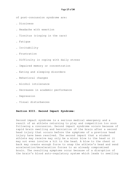of post-concussion syndrome are:

- . Dizziness
- . Headache with exertion
- . Tinnitus (ringing in the cars)
- . Fatigue
- . Irritability
- . Frustration
- . Difficulty in coping with daily stress
- . Impaired memory or concentration
- . Eating and sleeping disorders
- . Behavioral changes
- . Alcohol intolerance
- . Decreases in academic performance
- . Depression
- . Visual disturbances

#### **Section XIII. Second Impact Syndrome:**

Second impact syndrome is a serious medical emergency and a result of an athlete returning to play and competition too soon following a concussion. Second impact syndrome occurs because of rapid brain swelling and herniation of the brain after a second head injury that occurs before the symptoms of a previous head injury have been resolved. The second impact that a student athlete may receive may only be a minor blow to the head or it may not even involve a hit to the head. A blow to the chest or back may create enough force to snap the athlete's head and send acceleration/deceleration forces to an already compromised brain. The resulting symptoms occur because of a disruption of the brain's blood auto-regulatory system which leads to swelling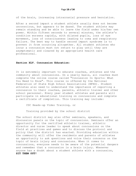of the brain, increasing intracranial pressure and herniation.

After a second impact a student athlete usually does not become unconscious, but appears to be dazed. The student athlete may remain standing and be able to leave the field under his/her own power. Within fifteen seconds to several minutes, the athlete's condition worsens rapidly, with dilated pupils, loss of eye movement, loss of consciousness leading to coma and respiratory failure. The best way to handle second impact syndrome is to prevent it from occurring altogether. All student athletes who incur a concussion must not return to play until they are asymptomatic and cleared by an appropriate health care professional.

#### **Section XLV. Concussion Education:**

It is extremely important to educate coaches, athletes and the community about concussions. On a yearly basis, all coaches must complete the online course called "Concussion In Sports: What You Need to Know". This course is offered by the National Federation of State High School Associations (NFHS). Student athletes also need to understand the importance of reporting a concussion to their coaches, parents, athletic trainer and other school personnel. Every year student athletes and parents will participate in educational training on concussions and complete a certificate of completion. This training may include:

CDC Heads-up Video Training, or

Training provided by the school district

The school district may also offer seminars, speakers, and discussion panels on the topic of concussions. Seminars offer an opportunity for the certified athletic trainer, athletic director and nurse leader to speak about concussions on the field at practices and games and to discuss the protocol and policy that the district has enacted. Providing education within the community will offer the residents and parents of athletes an opportunity to ask questions and voice their concerns on the topic of brain injury and concussions. When it comes to concussions, everyone needs to be aware of the potential dangers and remember that a concussion is a brain injury. Whenever anyone has a doubt about a student athlete with a concussion, **SIT THEM OUT!**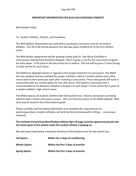### IMPORTANT INFORMATION FOR BLUE HILLS REGIONAL PARENTS

BHR Athletic Policy

To: Student Athletes, Parents, and Guardians

The BHR Athletic Department has instituted a mandatory concussion test for all student athletes. The 20 to 40 minute baseline test will take place at BHR prior to the first athletic event.

The BHR athletic department will be working closely with Dr. Dan Muse (Certified in Concussions Testing) from Brockton Hospital. There may be a cost for the concussion program for each player. To be paid on the day of the test or before. The test will be given 2 times during a 4 year period for each player.

The MIAA has adopted policies in regards to the proper treatment of concussions. The MIAA has also adopted and has outlined the proper method in which a student athlete may safely return back to their particular sport after receiving a concussion. These safe guards will work in conjunction with our schools policy for the safe return. The baseline concussion test is recommended by the Brockton Hospital to be given to each player 2 times within the 4 years of a student athlete's high school career.

The MIAA expects all students athletes take the baseline test. Parents and players are being asked to take 2 online concussion courses. One can find this course on the MIAA website. Web sites may be found in this informational guide.

Please carefully read the below information and complete the requirements for parents/guardians /student athletes, set forth by the Commonwealth of Mass. ( in previous material)

## The enclosed Parent/Guardian/Student Athlete Sign off page must be signed and passed into the head coach of the athletic team the student athlete is playing on.

We also have listed below a tentative timeline of the baseline tests for the school year.

| <b>Fall Sports.</b>   | Within the 3 days of conditioning   |
|-----------------------|-------------------------------------|
| <b>Winter Sports:</b> | Within the first 3 days of practice |
| <b>Spring Sports:</b> | Within the first 3 days of practice |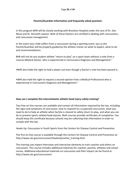## Parents/Guardian Information and frequently asked question:

In this program BHR will be closely working with Brockton Hospital under the care of Dr. Dan Muse and Dr. Kenneth Lawson. Both of these Doctors are certified in dealing with concussions, and concussion management.

In the event your child suffers from a concussion during a sporting event, you as the Parent/Guardian will be properly guided by the athletic trainer on what to expect, what to do and recommendations.

BHR will not let any student athlete "return to play" on a sport team without a note from a License Medical Doctor, who is experienced in Concussions Diagnosis and Management."

•BHR also holds the right to hold a player out even though a Doctor's note has been passed in.

•BHR also hold the right to request a second opinion from a Medical Professional who is experienced in Concussions Diagnosis and Management."

### How can I complete this interscholastic athletic head injury safety training?

Two free on-line courses are available and contain all information required by the law, including the signs and symptoms of concussion, how to respond to a suspected concussion, what you need to do to help an athlete when he/she is cleared to safely return to play, and what you can do to prevent sports related head injuries. Both courses provide certificates of completion. You should keep this certificate because schools may be collecting that information in order to comply with the law.

Heads Up: Concussion in Youth Sports from the Centers for Disease Control and Prevention

The first on-line course is available through the Centers for Disease Control and Prevention at: http://www.cdc.gov/concussion/HeadsUp/online\_training.html

The training uses expert interviews and interactive elements to train coaches and others on concussion. This course includes additional materials for coaches, parents, athletes and school nurses. Additional educational materials on concussion and their impact can be found at: http://www.cdc.gov/concussion/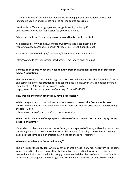CDC has information available for individuals, including parents and athletes whose first language is Spanish and may not find the on-line course accessible:

Coaches: http://www.cdc.gov/concussion/pdf/Coach\_Guide-a.pdf and http://www.cdc.gov/concussion/pdf/coaches\_Engl.pdf

School nurses: http://www.cdc.gov/concussion/HeadsUp/schools.html

Athletes: http://www.cdc.gov/concussion/pdf/Athletes\_Fact\_Sheet-a.pdf http://www.cdc.gov/concussion/pdf/Athletes\_Fact\_Sheet\_Spanish-a.pdf

Parents: http://www.cdc.gov/concussion/pdf/Parents\_Fact\_Sheet-a.pdf

http://www.cdc.gov/concussion/pdf/Parents\_Fact\_Sheet\_Spanish-a.pdf

## Concussion in Sports: What You Need to Know from the National Federation of State High School Associations

This on-line course is available through the NFHS. You will need to click the "order here" button and complete a brief registration form to take the course. However, you do not need to be a member of NFHS to access this course. Go to: http://www.nfhslearn.com/electiveDetail.aspx?courseID=15000

## How would I know if an athlete may have a concussion?

While the symptoms of concussions vary from person to person, the Centers for Disease Control and Prevention have developed helpful materials that can assist you in understanding the signs. Go to: http://www.cdc.gov/concussion/signs\_symptoms.html

## What should I do if one of my players may have suffered a concussion or head injury during practice or a game?

If a student has become unconscious, suffered, or is suspected of having suffered, a concussion during a game or practice, the student MUST be removed from play. The student may not go back into that same game or practice even if the athlete says "I feel fine."

## When can an athlete be "returned to play"?

The law is clear that a student who may have suffered a head injury may not return to the same game or practice. It also requires that student athletes be certified for return to play by a licensed medical professional. It is strongly recommended that this professional have familiarity with concussion diagnosis and management. Formal Regulations will be available for public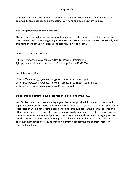comment mid-way through the school year. In addition, DPH is working with the medical community on guidelines and protocols for certifying an athlete's return to play.

## How will parents learn about this law?

The law requires that schools make sure that parents of athletes and parent volunteers are provided with information regarding the sports concussion awareness courses. To comply with this component of the law, please read carefully Part A and Part B

## Part A 2 On Line Courses

1)http://www.cdc.gov/concussion/HeadsUp/online\_training.html 2)http://www.nfhslearn.com/electiveDetail.aspx?courseID=15000

## Part B Facts and Quiz

1) http://www.cdc.gov/concussion/pdf/Parents\_Fact\_Sheet-a.pdf 1a) http://www.cdc.gov/concussion/pdf/Parents\_Fact\_Sheet\_Spanish-a.pdf 2) http://www.cdc.gov/concussion/pdf/quiz\_Eng.pdf

### Do parents and athletes have other responsibilities under this law?

Yes. Students and their parents or legal guardians must provide information to the school regarding any previous sports head injury at the start of each sports season. The Department of Public Health will be developing a sample form for this purpose. In the interim, parents and athletes can be asked to provide this information in a format selected by the school. However, these forms must require the signature of both the student and the parent or legal guardian. Coaches must receive this information prior to allowing any student to participate in an extracurricular athletic activity so they can identify students who are at greater risk for repeated head injuries.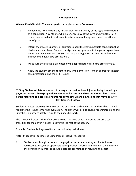### BHR Action Plan

#### When a Coach/Athletic Trainer suspects that a player has a Concussion.

- 1) Remove the Athlete from any further play. Recognize any of the signs and symptoms of a concussion. Any Athlete who experiences any of the signs and symptoms of a concussion should not be allowed to return to play. If any doubt keep the athlete out of play.
- 2) Inform the athlete's parents or guardians about the known possible concussion that his/her child may have. Go over the signs and symptoms with the parent /guardians. Important that you make sure you tell the parents/guardians that the athlete must be seen by a health care professional.
- 3) Make sure the athlete is evaluated by the appropriate health care professionals.
- 4) Allow the student athlete to return only with permission from an appropriate health care professional and the BHR Trainer.

## \*\*\*Any Student Athlete suspected of having a concussion, head injury or being treated by a physician…Must…..have proper documentation for return and see the BHR Athletic Trainer before returning to a practice or game for any follow up and limitations that may apply.\*\*\* BHR Trainer's Protocol

Student Athletes returning from a suspected or a diagnosed concussion by their Physician will report to the trainer for further evaluation. The player will also be given proper instructions and limitations on how to safely return to their specific sport.

The trainer will discuss the safe procedure with the head coach in order to ensure a safe transition for the player in order to continue the rest of the season.

Example: Student is diagnosed for a concussion by their doctor.

Note: Student will be retested using Impact Testing Procedures

1. Student must bring in a note on the physician letterhead stating any limitations or restrictions. Also, when applicable other pertinent information requiring the intensity of the concussion in order to ensure a safe proper method of return to the sport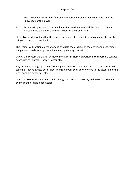- 2. The trainer will perform his/her own evaluation based on their experience and the knowledge of the player
- 3. Trainer will give restrictions and limitations to the player and the head coach/coach based on the evaluations and restrictions of their physician

 If the Trainer determines that the player is not ready for contact the second day, this will be relayed to the coach involved.

The Trainer will continually monitor and evaluate the progress of the player and determine if the player is ready for any contact and any up-coming contest.

During the contest the trainer will look, monitor this closely especially if the sport is a contact sport such as Football, Hockey, Soccer etc.

Any problems during a practice, scrimmage, or contest. The trainer and the coach will safely take the student athlete out of play. The trainer will bring any concerns to the attention of the player and his or her parents.

Note: All BHR Students Athletes will undergo the IMPACT TESTING, to develop a baseline in the event an athlete has a concussion.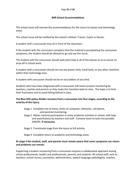### BHR School Accommodations

The school nurse will oversee the accommodations for the return to classes and technology areas.

The school nurse will be notified by the school's Athletic Trainer, Coach or Doctor.

A student with a concussion may sit in front of the classroom.

If the student with the concussion complains that the material is precipitating the concussion symptoms, the student should be allowed to go and see the nurse.

The student with the concussion should seek extra help in all of the classes so as to assure no drop off in school work.

A student with a concussion should not use any power tools, hand tools, or any other machines within their technology area.

A student with concussion should not be on any ladders of any kind.

Students who have been diagnosed with a concussion will need constant monitoring by teachers, coaches and parents as they make the transition back to class. The hope is to limit their frustration and to avoid falling behind in class.

## The Blue Hills policy divides recovery from a concussion into four stages, according to the severity of the injury.

- Stage 1 Complete rest at home, limits on computer, television, cell phone, and parental monitoring.
- Stage 2 Allows minimal participation in some academic activities in school, with help and watchfulness by teachers and staff. Convene team to look into possible 504/IEP, if necessary.
- Stage 3 Transitional stage from the injury to full activity.

Stage 4 Complete return to academic and technology areas.

## At stage 4 the student, staff, and parents must remain aware that some symptoms can return and problems can remain.

Supporting a student recovering from a concussion requires a collaborative approach among school professionals, health care professionals, parents, and students. All school staff, such as teachers, school nurses, counselors, administrators, speech-language pathologists, coaches,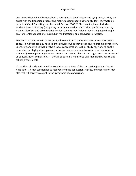and others should be informed about a returning student's injury and symptoms, as they can assist with the transition process and making accommodations for a student. If symptoms persist, a 504/IEP meeting may be called. Section 504/IEP Plans are implemented when students have a disability (temporary or permanent) that affects their performance in any manner. Services and accommodations for students may include speech-language therapy, environmental adaptations, curriculum modifications, and behavioral strategies.

Teachers and coaches will be encouraged to monitor students who return to school after a concussion. Students may need to limit activities while they are recovering from a concussion. Exercising or activities that involve a lot of concentration, such as studying, working on the computer, or playing video games, may cause concussion symptoms (such as headache or tiredness) to reappear or get worse. After a concussion, physical and cognitive activities — such as concentration and learning — should be carefully monitored and managed by health and school professionals.

If a student already had a medical condition at the time of the concussion (such as chronic headaches), it may take longer to recover from the concussion. Anxiety and depression may also make it harder to adjust to the symptoms of a concussion.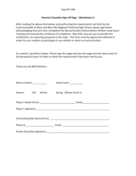### Parents/ Guardian Sign off Page (Worksheet 1)

After reading the above information and performing the requirements set forth by the Commonwealth of Mass and Blue Hills Regional Technical High School, please sign below acknowledging that you have completed the Massachusetts Interscholastic Athletic Head Injury Training and received the certificate of completion. Blue Hills may ask you to provide this certification, for reporting purposes to the state. This form must be signed and collected in order for your student to participate in any athletic or extra curricula activities.

As a parent / guardian/ player, Please sign this page and pass the page into the head coach of the perspective sport in order to verify the requirements have been met by you.

Thank you the BHR Athletics.

| Name of Sport:_____________ |  | Head Coach ___________                                                           |
|-----------------------------|--|----------------------------------------------------------------------------------|
|                             |  | Season: Fall Winter Spring (Please Circle 1)                                     |
|                             |  | Player's Name (Print) __________________________________Grade___________________ |
|                             |  |                                                                                  |
|                             |  |                                                                                  |
|                             |  |                                                                                  |
|                             |  |                                                                                  |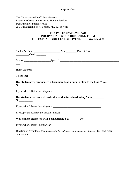The Commonwealth of Massachusetts Executive Office of Health and Human Services Department of Public Health 250 Washington Street, Boston, MA 02108-4619

 $\overline{\phantom{a}}$ 

## **PRE-PARTICIPATION HEAD INJURY/CONCUSSION REPORTING FORM FOR EXTRACURRICULAR ACTIVITIES (Worksheet 2)**

| Student's Name: Sex: Date of Birth:<br>$C = 2$                             |                                                                                                                                                                                                                               |
|----------------------------------------------------------------------------|-------------------------------------------------------------------------------------------------------------------------------------------------------------------------------------------------------------------------------|
|                                                                            | School: Sport(s): Sport(s): Sport(s): Sport(s): Sport(s): Sport(s): Sport(s): Sport(s): Sport(s): Sport(s): Sport(s): Sport(s): Sport(s): Sport(s): Sport(s): Sport(s): Sport(s): Sport(s): Sport(s): Sport(s): Sport(s): Spo |
|                                                                            |                                                                                                                                                                                                                               |
|                                                                            |                                                                                                                                                                                                                               |
|                                                                            | Has student ever experienced a traumatic head injury (a blow to the head)? Yes___                                                                                                                                             |
|                                                                            |                                                                                                                                                                                                                               |
| Has student ever received medical attention for a head injury? Yes________ |                                                                                                                                                                                                                               |
|                                                                            |                                                                                                                                                                                                                               |
| If yes, please describe the circumstances:                                 |                                                                                                                                                                                                                               |
| Was student diagnosed with a concussion? Yes________ No________            |                                                                                                                                                                                                                               |
|                                                                            |                                                                                                                                                                                                                               |
| concussion:                                                                | Duration of Symptoms (such as <i>headache</i> , <i>difficulty concentrating</i> , <i>fatigue</i> ) for most recent                                                                                                            |

\_\_\_\_\_\_\_\_\_\_\_\_\_\_\_\_\_\_\_\_\_\_\_\_\_\_\_\_\_\_\_\_\_\_\_\_\_\_\_\_\_\_\_\_\_\_\_\_\_\_\_\_\_\_\_\_\_\_\_\_\_\_\_\_\_\_\_\_\_\_\_\_\_\_\_\_\_\_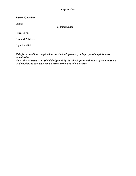## **Parent/Guardian:**

Name:

 $\overline{\phantom{a}}$ 

 $\text{Sigma}$ 

(Please print)

**Student Athlete:** 

Signature/Date

*This form should be completed by the student's parent(s) or legal guardian(s). It must submitted to the Athletic Director, or official designated by the school, prior to the start of each season a* 

\_\_\_\_\_\_\_\_\_\_\_\_\_\_\_\_\_\_\_\_\_\_\_\_\_\_\_\_\_\_\_\_\_\_\_\_\_\_\_\_\_\_\_\_\_\_\_\_\_\_\_\_\_\_\_\_\_\_\_\_\_\_\_\_\_\_\_\_\_\_\_\_

*student plans to participate in an extracurricular athletic activity.*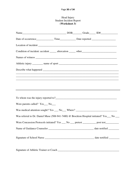## Head Injury Student Incident Report  **(Worksheet 3)**

| Condition of incident: accident _______ altercation ______ other ___________________________________ |  |  |
|------------------------------------------------------------------------------------------------------|--|--|
|                                                                                                      |  |  |
|                                                                                                      |  |  |
|                                                                                                      |  |  |
| 一个人,我们就是一个人的人,我们就是一个人的人,我们就是一个人的人,我们就是一个人的人,我们就是一个人的人,我们就是一个人的人,我们就是一个人的人,我们就是一个                     |  |  |
|                                                                                                      |  |  |
|                                                                                                      |  |  |
|                                                                                                      |  |  |
|                                                                                                      |  |  |
| Were parents called? Yes___ No___                                                                    |  |  |
| Was medical attention sought? Yes ___ No___ Where? _____________________________                     |  |  |
| Was referral to Dr. Daniel Muse (508-941-7400) @ Brockton Hospital initiated? Yes__ No __            |  |  |
| Were Concussion Protocols initiated? Yes ___ No ___ pretest _________ post test_________             |  |  |
|                                                                                                      |  |  |
|                                                                                                      |  |  |
|                                                                                                      |  |  |
|                                                                                                      |  |  |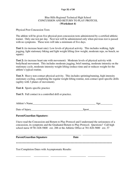#### Page 31 of 34

## Blue Hills Regional Technical High School CONCUSSION AND RETURN TO PLAY PROTCOL **(Worksheet 4)**

#### Physical Post Concussion Tests

The athlete will be given five physical post-concussion tests administered by a certified athletic trainer. Only one test per day. Next test will be administered only when previous test is passed with no symptoms. These tests will take a minimum of five days.

**Test 1:** (to increase heart rate): Low levels of physical activity. This includes walking, light jogging, light stationary biking and light weight lifting (low weight, moderate reps, no bench, no squats)

**Test 2:** (to increase heart rate with movement): Moderate levels of physical activity with body/head movement. This includes moderate jogging, brief running, moderate intensity on the stationary cycle, moderate intensity weight lifting (reduce time and or reduces weight for the athlete's typical routine.

**Test 3:** Heavy non-contact physical activity. This includes sprinting/running, high intensity stationary cycling, completing the regular weight lifting routine, non-contact sport specific drills (agility with 3 planes of movement).

**Test 4:** Sports specific practice

**Test 5:** Full contact in a controlled drill or practice.

| Athlete's Name |       |
|----------------|-------|
|                |       |
| Date of Injury | Sport |

### **Parent/Guardian Signature:**

I have read the Concussion and Return to Play Protocol and I understand the seriousness of a concussion, its symptoms and the Graduated Return to Play Protocol. Questions? Call high school nurse @781-828-5800 ext. 288 or the Athletic Office at 781-828-5800 ext. 37

| <b>Parent/Guardian Signature</b>                        | Date |  |
|---------------------------------------------------------|------|--|
|                                                         |      |  |
| <b>Test Completion Dates with Asymptomatic Results:</b> |      |  |

\_\_\_\_\_\_\_\_\_\_\_ \_\_\_\_\_\_\_\_\_\_\_ \_\_\_\_\_\_\_\_\_\_\_\_ \_\_\_\_\_\_\_\_\_\_\_\_ \_\_\_\_\_\_\_\_\_\_\_\_\_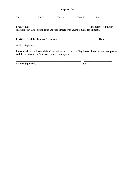Test 1 Test 2 Test 3 Test 4 Test 5

I verify that \_\_\_\_\_\_\_\_\_\_\_\_\_\_\_\_\_\_\_\_\_\_\_\_\_\_\_\_\_\_\_\_\_\_\_\_\_\_\_\_\_\_\_\_\_\_has completed the five physical Post-Concussion tests and said athlete was asymptomatic for all tests.

## **Certified Athletic Trainer Signature Date**  Date

Athlete Signature

I have read and understand the Concussion and Return to Play Protocol, concussion symptoms, and the seriousness of a second concussion injury.

\_\_\_\_\_\_\_\_\_\_\_\_\_\_\_\_\_\_\_\_\_\_\_\_\_\_\_\_\_\_\_\_\_\_\_\_\_\_\_\_\_\_\_\_\_\_\_\_\_ \_\_\_\_\_\_\_\_\_\_\_\_\_\_\_\_\_\_\_\_\_

Athlete Signature Date

\_\_\_\_\_\_\_\_\_\_\_\_\_\_\_\_\_\_\_\_\_\_\_\_\_\_\_\_\_\_\_\_\_\_\_\_\_\_\_\_\_\_\_\_\_\_\_\_\_ \_\_\_\_\_\_\_\_\_\_\_\_\_\_\_\_\_\_\_\_\_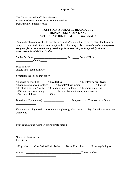The Commonwealth of Massachusetts Executive Office of Health and Human Services Department of Public Health

## **POST SPORTS-RELATED HEAD INJURY MEDICAL CLEARANCE AND AUTHORIZATION FORM (Worksheet 5)**

This medical clearance should only be provided *after* a gradual return to play plan has been completed and student has been symptom free at all stages. *The student must be completely symptom free at rest and during exertion prior to returning to full participation in extracurricular athletic activities***.**

| Grade:                                                                                                                                                                                                                                                                                                                                                  |                                            |
|---------------------------------------------------------------------------------------------------------------------------------------------------------------------------------------------------------------------------------------------------------------------------------------------------------------------------------------------------------|--------------------------------------------|
| Date of injury: ___________________                                                                                                                                                                                                                                                                                                                     |                                            |
|                                                                                                                                                                                                                                                                                                                                                         |                                            |
| Symptoms (check all that apply):                                                                                                                                                                                                                                                                                                                        |                                            |
| $\Box$ Nausea or vomiting $\Box$ Headaches<br>$\square$ Dizziness/balance problems $\square$ Double/blurry vision $\square$ Fatigue<br>$\Box$ Feeling sluggish/"in a fog" $\Box$ Change in sleep patterns $\Box$ Memory problems<br>$\Box$ Difficulty concentrating $\Box$ Irritability/emotional ups and downs<br>$\Box$ Sad or withdrawn $\Box$ Other | $\Box$ Light/noise sensitivity             |
| Duration of Symptom(s): _______________                                                                                                                                                                                                                                                                                                                 | Diagnosis: $\Box$ Concussion $\Box$ Other: |
| If concussion diagnosed, date student completed gradual return to play plan without recurrent<br>symptoms:                                                                                                                                                                                                                                              |                                            |
| Prior concussions (number, approximate dates):                                                                                                                                                                                                                                                                                                          |                                            |
|                                                                                                                                                                                                                                                                                                                                                         |                                            |
| Name of Physician or<br>Practitioner: New York Structure and Structure and Structure and Structure and Structure and Structure and Structure and Structure and Structure and Structure and Structure and Structure and Structure and Structure and Str                                                                                                  |                                            |
| $\Box$ Physician $\Box$ Certified Athletic Trainer $\Box$ Nurse Practitioner $\Box$ Neuropsychologist                                                                                                                                                                                                                                                   |                                            |
|                                                                                                                                                                                                                                                                                                                                                         |                                            |
|                                                                                                                                                                                                                                                                                                                                                         |                                            |